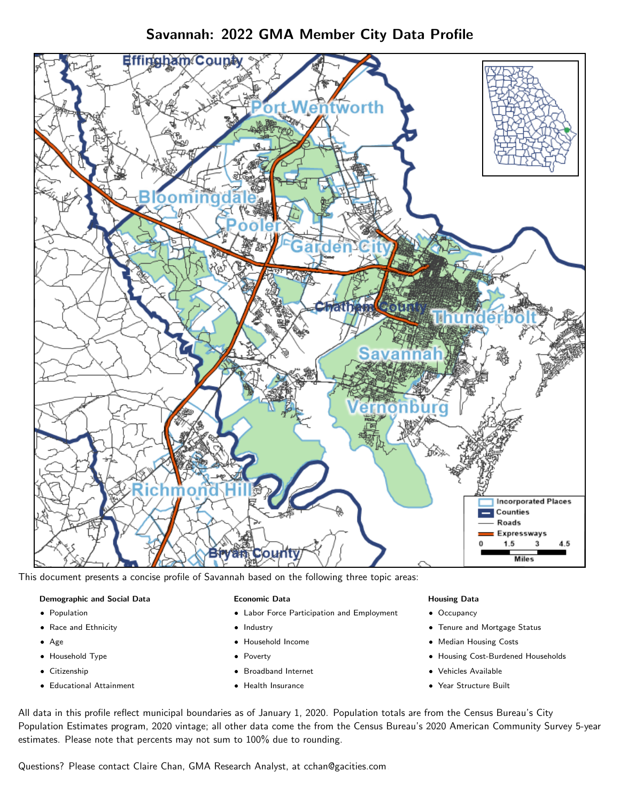## Savannah: 2022 GMA Member City Data Profile



This document presents a concise profile of Savannah based on the following three topic areas:

### Demographic and Social Data

- **•** Population
- Race and Ethnicity
- Age
- Household Type
- **Citizenship**
- Educational Attainment

#### Economic Data

- Labor Force Participation and Employment
- Industry
- Household Income
- Poverty
- Broadband Internet
- Health Insurance

#### Housing Data

- Occupancy
- Tenure and Mortgage Status
- Median Housing Costs
- Housing Cost-Burdened Households
- Vehicles Available
- Year Structure Built

All data in this profile reflect municipal boundaries as of January 1, 2020. Population totals are from the Census Bureau's City Population Estimates program, 2020 vintage; all other data come the from the Census Bureau's 2020 American Community Survey 5-year estimates. Please note that percents may not sum to 100% due to rounding.

Questions? Please contact Claire Chan, GMA Research Analyst, at [cchan@gacities.com.](mailto:cchan@gacities.com)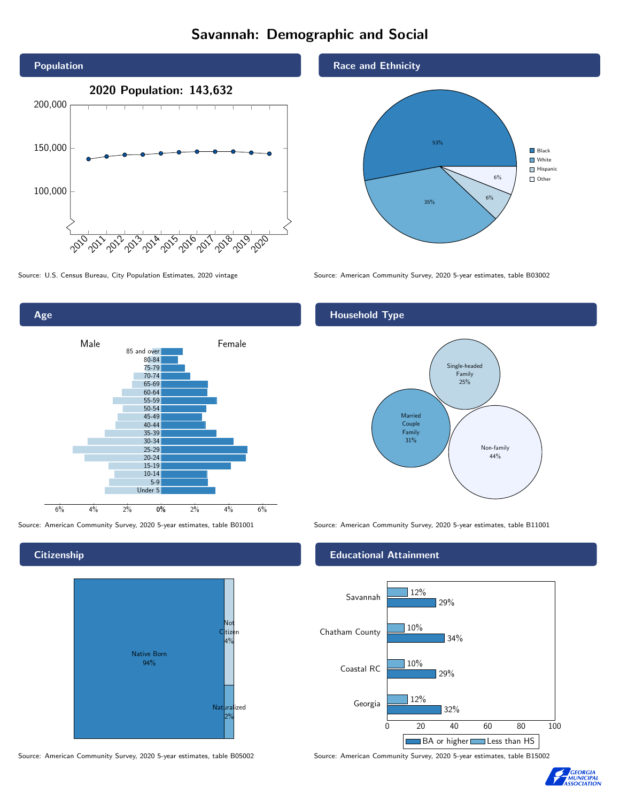# Savannah: Demographic and Social





**Citizenship** 



Source: American Community Survey, 2020 5-year estimates, table B05002 Source: American Community Survey, 2020 5-year estimates, table B15002



Source: U.S. Census Bureau, City Population Estimates, 2020 vintage Source: American Community Survey, 2020 5-year estimates, table B03002

## Household Type



Source: American Community Survey, 2020 5-year estimates, table B01001 Source: American Community Survey, 2020 5-year estimates, table B11001

### Educational Attainment



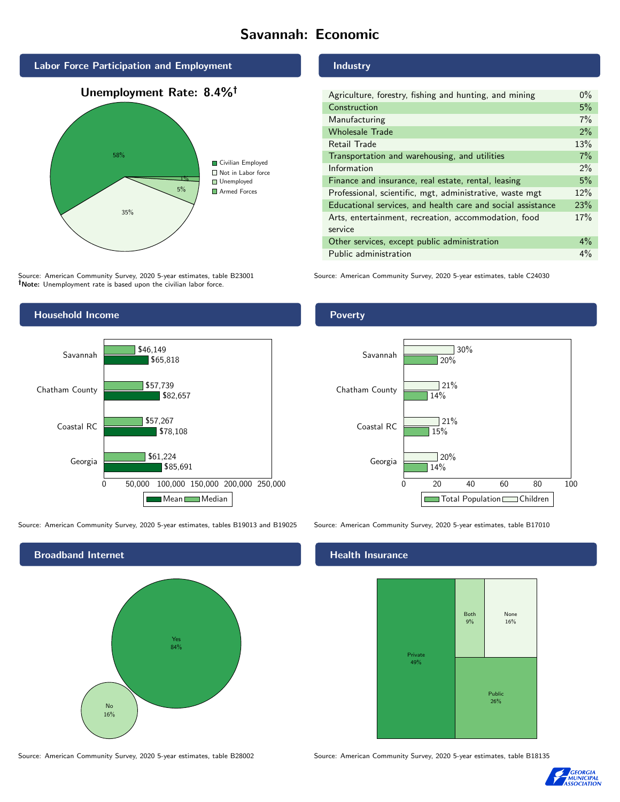# Savannah: Economic







Source: American Community Survey, 2020 5-year estimates, table B23001 Note: Unemployment rate is based upon the civilian labor force.



Source: American Community Survey, 2020 5-year estimates, tables B19013 and B19025 Source: American Community Survey, 2020 5-year estimates, table B17010



#### Industry

| Agriculture, forestry, fishing and hunting, and mining      | $0\%$ |
|-------------------------------------------------------------|-------|
| Construction                                                | 5%    |
| Manufacturing                                               | 7%    |
| <b>Wholesale Trade</b>                                      | 2%    |
| Retail Trade                                                | 13%   |
| Transportation and warehousing, and utilities               | 7%    |
| Information                                                 | $2\%$ |
| Finance and insurance, real estate, rental, leasing         | 5%    |
| Professional, scientific, mgt, administrative, waste mgt    | 12%   |
| Educational services, and health care and social assistance | 23%   |
| Arts, entertainment, recreation, accommodation, food        | 17%   |
| service                                                     |       |
| Other services, except public administration                | $4\%$ |
| Public administration                                       | $4\%$ |

Source: American Community Survey, 2020 5-year estimates, table C24030

### Poverty



#### Health Insurance



Source: American Community Survey, 2020 5-year estimates, table B28002 Source: American Community Survey, 2020 5-year estimates, table B18135